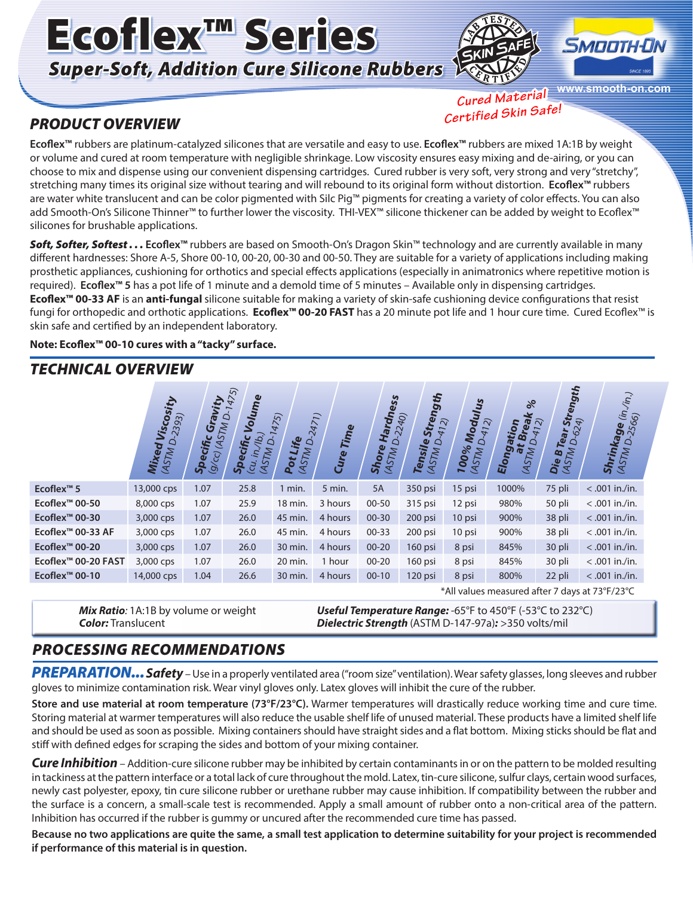# Ecoflex™ Series *Super-Soft, Addition Cure Silicone Rubbers*





**www.smooth-on.com**

#### *PRODUCT OVERVIEW*

*Cured Material Certified Skin Safe!*

**Ecoflex™** rubbers are platinum-catalyzed silicones that are versatile and easy to use. **Ecoflex™** rubbers are mixed 1A:1B by weight or volume and cured at room temperature with negligible shrinkage. Low viscosity ensures easy mixing and de-airing, or you can choose to mix and dispense using our convenient dispensing cartridges. Cured rubber is very soft, very strong and very "stretchy", stretching many times its original size without tearing and will rebound to its original form without distortion. **Ecoflex™** rubbers are water white translucent and can be color pigmented with Silc Pig™ pigments for creating a variety of color effects. You can also add Smooth-On's Silicone Thinner™ to further lower the viscosity. THI-VEX™ silicone thickener can be added by weight to Ecoflex™ silicones for brushable applications.

*Soft, Softer, Softest . . .* **Ecoflex™** rubbers are based on Smooth-On's Dragon Skin™ technology and are currently available in many different hardnesses: Shore A-5, Shore 00-10, 00-20, 00-30 and 00-50. They are suitable for a variety of applications including making prosthetic appliances, cushioning for orthotics and special effects applications (especially in animatronics where repetitive motion is required). **Ecoflex™ 5** has a pot life of 1 minute and a demold time of 5 minutes – Available only in dispensing cartridges. **Ecoflex™ 00-33 AF** is an **anti-fungal** silicone suitable for making a variety of skin-safe cushioning device configurations that resist fungi for orthopedic and orthotic applications. **Ecoflex™ 00-20 FAST** has a 20 minute pot life and 1 hour cure time. Cured Ecoflex™ is skin safe and certified by an independent laboratory.

**Note: Ecoflex™ 00-10 cures with a "tacky" surface.**

### *TECHNICAL OVERVIEW*

|                            | ity<br>D-2393)<br>Visco.<br>Mixed<br>(ASTM L   | vity<br>$9$ <sup>/cc)</sup> (ASTM D-1<br>Gra<br>Specific | 1475)<br>Volume<br>$\mathcal{L}(\mathcal{H})$<br>ecific<br>$\Delta$<br><b>ASTM</b><br>ą.<br>(cu<br>နှ | 1475)<br>Life<br>$\Delta$<br>MSTM<br>Pot | 2421<br>Time<br>Cure | <b>Hardn</b><br>Shore<br><b>ASTM</b> | ess<br>D-2240)<br>Strey<br>Tensile<br>(ASTM) | ngth<br>Modulus<br>412)<br>$\circ$<br>100% | D-412)<br>Elonga<br><b>ASTM</b> | $\aleph$<br>Å<br>$\widehat{\mathcal{N}}$<br>tion<br>മ<br>$\tilde{a}$<br><b>ASTM</b> | Strength<br>Tear Sti<br>Die B <sub>1</sub><br>(AST <sub>M</sub> | $\langle \hat{n} \rangle$<br>ί'n,<br><b>Shrinkage</b> (in,<br><sup>(ASTM D-2566)</sup> |  |
|----------------------------|------------------------------------------------|----------------------------------------------------------|-------------------------------------------------------------------------------------------------------|------------------------------------------|----------------------|--------------------------------------|----------------------------------------------|--------------------------------------------|---------------------------------|-------------------------------------------------------------------------------------|-----------------------------------------------------------------|----------------------------------------------------------------------------------------|--|
| Ecoflex <sup>™</sup> 5     | 13,000 cps                                     | 1.07                                                     | 25.8                                                                                                  | 1 min.                                   | 5 min.               | 5A                                   | 350 psi                                      | 15 psi                                     |                                 | 1000%                                                                               | 75 pli                                                          | $< .001$ in./in.                                                                       |  |
| Ecoflex <sup>™</sup> 00-50 | 8,000 cps                                      | 1.07                                                     | 25.9                                                                                                  | 18 min.                                  | 3 hours              | $00 - 50$                            | 315 psi                                      | 12 psi                                     | 980%                            |                                                                                     | 50 pli                                                          | $< .001$ in./in.                                                                       |  |
| Ecoflex <sup>™</sup> 00-30 | 3,000 cps                                      | 1.07                                                     | 26.0                                                                                                  | 45 min.                                  | 4 hours              | $00 - 30$                            | 200 psi                                      | 10 psi                                     | 900%                            |                                                                                     | 38 pli                                                          | $< .001$ in./in.                                                                       |  |
| Ecoflex™ 00-33 AF          | 3,000 cps                                      | 1.07                                                     | 26.0                                                                                                  | 45 min.                                  | 4 hours              | $00 - 33$                            | 200 psi                                      | 10 psi                                     | 900%                            |                                                                                     | 38 pli                                                          | $< .001$ in./in.                                                                       |  |
| Ecoflex <sup>™</sup> 00-20 | 3,000 cps                                      | 1.07                                                     | 26.0                                                                                                  | 30 min.                                  | 4 hours              | $00 - 20$                            | 160 psi                                      | 8 psi                                      | 845%                            |                                                                                     | 30 pli                                                          | $< .001$ in./in.                                                                       |  |
| Ecoflex™ 00-20 FAST        | 3,000 cps                                      | 1.07                                                     | 26.0                                                                                                  | 20 min.                                  | 1 hour               | $00 - 20$                            | 160 psi                                      | 8 psi                                      | 845%                            |                                                                                     | 30 pli                                                          | $< .001$ in./in.                                                                       |  |
| Ecoflex <sup>™</sup> 00-10 | 14,000 cps                                     | 1.04                                                     | 26.6                                                                                                  | 30 min.                                  | 4 hours              | $00 - 10$                            | 120 psi                                      | 8 psi                                      | 800%                            |                                                                                     | 22 pli                                                          | $< .001$ in./in.                                                                       |  |
|                            | *All values measured after 7 days at 73°F/23°C |                                                          |                                                                                                       |                                          |                      |                                      |                                              |                                            |                                 |                                                                                     |                                                                 |                                                                                        |  |

*Mix Ratio:* 1A:1B by volume or weight *Color:* Translucent

*Useful Temperature Range:* -65°F to 450°F (-53°C to 232°C) *Dielectric Strength* (ASTM D-147-97a)*:* >350 volts/mil

#### *PROCESSING RECOMMENDATIONS*

*PREPARATION... Safety* – Use in a properly ventilated area ("room size" ventilation). Wear safety glasses, long sleeves and rubber gloves to minimize contamination risk. Wear vinyl gloves only. Latex gloves will inhibit the cure of the rubber.

**Store and use material at room temperature (73°F/23°C).** Warmer temperatures will drastically reduce working time and cure time. Storing material at warmer temperatures will also reduce the usable shelf life of unused material. These products have a limited shelf life and should be used as soon as possible. Mixing containers should have straight sides and a flat bottom. Mixing sticks should be flat and stiff with defined edges for scraping the sides and bottom of your mixing container.

*Cure Inhibition* – Addition-cure silicone rubber may be inhibited by certain contaminants in or on the pattern to be molded resulting in tackiness at the pattern interface or a total lack of cure throughout the mold. Latex, tin-cure silicone, sulfur clays, certain wood surfaces, newly cast polyester, epoxy, tin cure silicone rubber or urethane rubber may cause inhibition. If compatibility between the rubber and the surface is a concern, a small-scale test is recommended. Apply a small amount of rubber onto a non-critical area of the pattern. Inhibition has occurred if the rubber is gummy or uncured after the recommended cure time has passed.

**Because no two applications are quite the same, a small test application to determine suitability for your project is recommended if performance of this material is in question.**